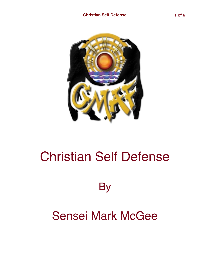

## Christian Self Defense

**By** 

## Sensei Mark McGee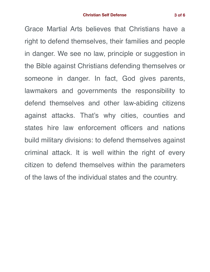Grace Martial Arts believes that Christians have a

right to defend themselves, their families and people in danger. We see no law, principle or suggestion in the Bible against Christians defending themselves or someone in danger. In fact, God gives parents, lawmakers and governments the responsibility to defend themselves and other law-abiding citizens against attacks. That's why cities, counties and states hire law enforcement officers and nations build military divisions: to defend themselves against criminal attack. It is well within the right of every citizen to defend themselves within the parameters of the laws of the individual states and the country.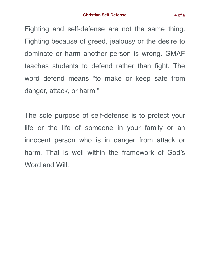Fighting and self-defense are not the same thing. Fighting because of greed, jealousy or the desire to dominate or harm another person is wrong. GMAF teaches students to defend rather than fight. The word defend means "to make or keep safe from danger, attack, or harm."

The sole purpose of self-defense is to protect your life or the life of someone in your family or an innocent person who is in danger from attack or harm. That is well within the framework of God's Word and Will.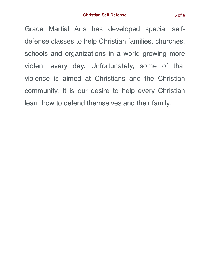Grace Martial Arts has developed special selfdefense classes to help Christian families, churches, schools and organizations in a world growing more violent every day. Unfortunately, some of that violence is aimed at Christians and the Christian community. It is our desire to help every Christian learn how to defend themselves and their family.